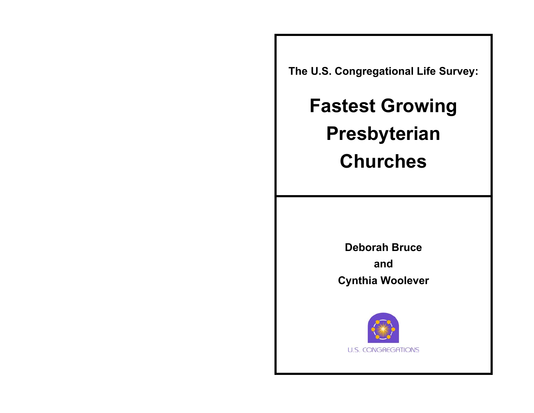**The U.S. Congregational Life Survey:** 

**Fastest Growing Presbyterian Churches** 

> **Deborah Bruce and Cynthia Woolever**

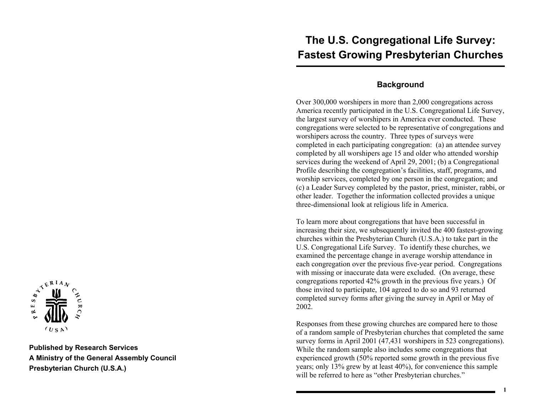# $\sum_{k=1}^{N} \prod_{i=1}^{N}$  $(USA)$

**Published by Research Services A Ministry of the General Assembly Council Presbyterian Church (U.S.A.)**

# **The U.S. Congregational Life Survey: Fastest Growing Presbyterian Churches**

#### **Background**

Over 300,000 worshipers in more than 2,000 congregations across America recently participated in the U.S. Congregational Life Survey, the largest survey of worshipers in America ever conducted. These congregations were selected to be representative of congregations and worshipers across the country. Three types of surveys were completed in each participating congregation: (a) an attendee survey completed by all worshipers age 15 and older who attended worship services during the weekend of April 29, 2001; (b) a Congregational Profile describing the congregation's facilities, staff, programs, and worship services, completed by one person in the congregation; and (c) a Leader Survey completed by the pastor, priest, minister, rabbi, or other leader. Together the information collected provides a unique three-dimensional look at religious life in America.

To learn more about congregations that have been successful in increasing their size, we subsequently invited the 400 fastest-growing churches within the Presbyterian Church (U.S.A.) to take part in the U.S. Congregational Life Survey. To identify these churches, we examined the percentage change in average worship attendance in each congregation over the previous five-year period. Congregations with missing or inaccurate data were excluded. (On average, these congregations reported 42% growth in the previous five years.) Of those invited to participate, 104 agreed to do so and 93 returned completed survey forms after giving the survey in April or May of 2002.

Responses from these growing churches are compared here to those of a random sample of Presbyterian churches that completed the same survey forms in April 2001 (47,431 worshipers in 523 congregations). While the random sample also includes some congregations that experienced growth (50% reported some growth in the previous five years; only 13% grew by at least 40%), for convenience this sample will be referred to here as "other Presbyterian churches."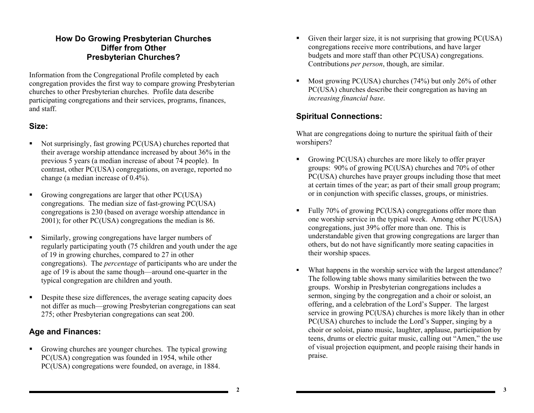#### **How Do Growing Presbyterian Churches Differ from Other Presbyterian Churches?**

Information from the Congregational Profile completed by each congregation provides the first way to compare growing Presbyterian churches to other Presbyterian churches. Profile data describe participating congregations and their services, programs, finances, and staff.

#### **Size:**

- Not surprisingly, fast growing PC(USA) churches reported that their average worship attendance increased by about 36% in the previous 5 years (a median increase of about 74 people). In contrast, other PC(USA) congregations, on average, reported no change (a median increase of 0.4%).
- Growing congregations are larger that other PC(USA) congregations. The median size of fast-growing PC(USA) congregations is 230 (based on average worship attendance in 2001); for other PC(USA) congregations the median is 86.
- Similarly, growing congregations have larger numbers of regularly participating youth (75 children and youth under the age of 19 in growing churches, compared to 27 in other congregations). The *percentage* of participants who are under the age of 19 is about the same though—around one-quarter in the typical congregation are children and youth.
- Despite these size differences, the average seating capacity does not differ as much—growing Presbyterian congregations can seat 275; other Presbyterian congregations can seat 200.

## **Age and Finances:**

 Growing churches are younger churches. The typical growing PC(USA) congregation was founded in 1954, while other PC(USA) congregations were founded, on average, in 1884.

- Given their larger size, it is not surprising that growing PC(USA) congregations receive more contributions, and have larger budgets and more staff than other PC(USA) congregations. Contributions *per person*, though, are similar.
- Most growing PC(USA) churches (74%) but only 26% of other PC(USA) churches describe their congregation as having an *increasing financial base*.

# **Spiritual Connections:**

What are congregations doing to nurture the spiritual faith of their worshipers?

- Growing PC(USA) churches are more likely to offer prayer groups: 90% of growing PC(USA) churches and 70% of other PC(USA) churches have prayer groups including those that meet at certain times of the year; as part of their small group program; or in conjunction with specific classes, groups, or ministries.
- Fully 70% of growing PC(USA) congregations offer more than one worship service in the typical week. Among other PC(USA) congregations, just 39% offer more than one. This is understandable given that growing congregations are larger than others, but do not have significantly more seating capacities in their worship spaces.
- What happens in the worship service with the largest attendance? The following table shows many similarities between the two groups. Worship in Presbyterian congregations includes a sermon, singing by the congregation and a choir or soloist, an offering, and a celebration of the Lord's Supper. The largest service in growing PC(USA) churches is more likely than in other PC(USA) churches to include the Lord's Supper, singing by a choir or soloist, piano music, laughter, applause, participation by teens, drums or electric guitar music, calling out "Amen," the use of visual projection equipment, and people raising their hands in praise.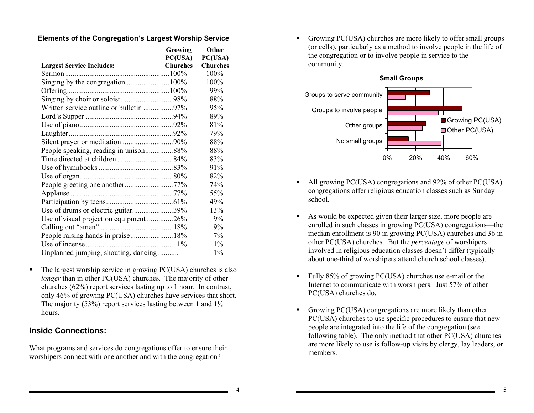#### **Elements of the Congregation's Largest Worship Service**

|                                        | Growing  | Other           |
|----------------------------------------|----------|-----------------|
|                                        | PC(USA)  | PC(USA)         |
| <b>Largest Service Includes:</b>       | Churches | <b>Churches</b> |
|                                        |          | 100%            |
| Singing by the congregation 100%       |          | 100%            |
|                                        |          | 99%             |
|                                        |          | 88%             |
|                                        |          | 95%             |
|                                        |          | 89%             |
|                                        |          | 81%             |
|                                        |          | 79%             |
|                                        |          | 88%             |
| People speaking, reading in unison88%  |          | 88%             |
|                                        |          | 83%             |
|                                        |          | 91%             |
|                                        |          | 82%             |
|                                        |          | 74%             |
|                                        |          | 55%             |
|                                        |          | 49%             |
| Use of drums or electric guitar39%     |          | 13%             |
| Use of visual projection equipment 26% |          | 9%              |
|                                        |          | 9%              |
| People raising hands in praise18%      |          | 7%              |
|                                        |          | $1\%$           |
| Unplanned jumping, shouting, dancing - |          | $1\%$           |

The largest worship service in growing PC(USA) churches is also *longer* than in other PC(USA) churches. The majority of other churches (62%) report services lasting up to 1 hour. In contrast, only 46% of growing PC(USA) churches have services that short. The majority (53%) report services lasting between 1 and  $1\frac{1}{2}$ hours.

#### **Inside Connections:**

What programs and services do congregations offer to ensure their worshipers connect with one another and with the congregation?

 Growing PC(USA) churches are more likely to offer small groups (or cells), particularly as a method to involve people in the life of the congregation or to involve people in service to the community.



- All growing PC(USA) congregations and 92% of other PC(USA) congregations offer religious education classes such as Sunday school.
- As would be expected given their larger size, more people are enrolled in such classes in growing PC(USA) congregations—the median enrollment is 90 in growing PC(USA) churches and 36 in other PC(USA) churches. But the *percentage* of worshipers involved in religious education classes doesn't differ (typically about one-third of worshipers attend church school classes).
- Fully 85% of growing PC(USA) churches use e-mail or the Internet to communicate with worshipers. Just 57% of other PC(USA) churches do.
- Growing PC(USA) congregations are more likely than other PC(USA) churches to use specific procedures to ensure that new people are integrated into the life of the congregation (see following table). The only method that other PC(USA) churches are more likely to use is follow-up visits by clergy, lay leaders, or members.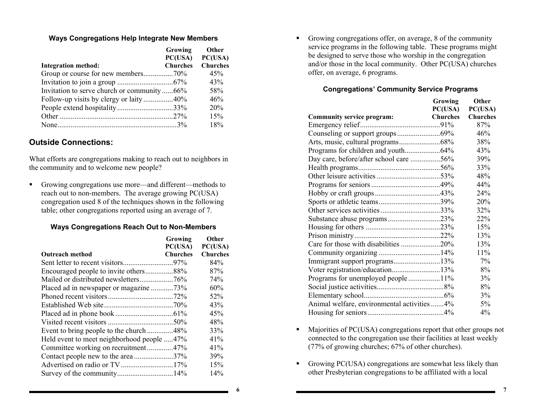#### **Ways Congregations Help Integrate New Members**

|                                            | Growing<br>PC(USA) | <b>Other</b><br>PC(USA) |
|--------------------------------------------|--------------------|-------------------------|
| <b>Integration method:</b>                 | <b>Churches</b>    | <b>Churches</b>         |
| Group or course for new members70%         |                    | 45%                     |
|                                            |                    | 43%                     |
| Invitation to serve church or community66% |                    | 58%                     |
| Follow-up visits by clergy or laity40%     |                    | 46%                     |
| People extend hospitality33%               |                    | 20%                     |
|                                            |                    | 15%                     |
|                                            |                    | 18%                     |

#### **Outside Connections:**

What efforts are congregations making to reach out to neighbors in the community and to welcome new people?

 Growing congregations use more—and different—methods to reach out to non-members. The average growing PC(USA) congregation used 8 of the techniques shown in the following table; other congregations reported using an average of 7.

#### **Ways Congregations Reach Out to Non-Members**

|                                            | Growing<br>PC(USA) | Other<br>PC(USA) |
|--------------------------------------------|--------------------|------------------|
|                                            |                    |                  |
| <b>Outreach method</b>                     | <b>Churches</b>    | <b>Churches</b>  |
|                                            |                    | 84%              |
|                                            |                    | 87%              |
|                                            |                    | 74%              |
| Placed ad in newspaper or magazine 73%     |                    | 60%              |
|                                            |                    | 52%              |
|                                            |                    | 43%              |
|                                            |                    | 45%              |
|                                            |                    | 48%              |
| Event to bring people to the church48%     |                    | 33%              |
| Held event to meet neighborhood people 47% |                    | 41%              |
| Committee working on recruitment47%        |                    | 41%              |
| Contact people new to the area37%          |                    | 39%              |
|                                            |                    | 15%              |
| Survey of the community14%                 |                    | 14%              |

 Growing congregations offer, on average, 8 of the community service programs in the following table. These programs might be designed to serve those who worship in the congregation and/or those in the local community. Other PC(USA) churches offer, on average, 6 programs.

#### **Congregations' Community Service Programs**

|                                              | <b>Growing</b> | <b>Other</b>    |
|----------------------------------------------|----------------|-----------------|
|                                              | PC(USA)        | PC(USA)         |
| Community service program:                   | Churches       | <b>Churches</b> |
|                                              |                | 87%             |
|                                              |                | 46%             |
|                                              |                | 38%             |
|                                              |                | 43%             |
| Day care, before/after school care 56%       |                | 39%             |
|                                              |                | 33%             |
|                                              |                | 48%             |
|                                              |                | 44%             |
|                                              |                | 24%             |
| Sports or athletic teams39%                  |                | 20%             |
|                                              |                | 32%             |
|                                              |                | 22%             |
|                                              |                | 15%             |
|                                              |                | 13%             |
| Care for those with disabilities 20%         |                | 13%             |
|                                              |                | 11%             |
|                                              |                | 7%              |
| Voter registration/education13%              |                | 8%              |
| Programs for unemployed people 11%           |                | 3%              |
|                                              |                | 8%              |
|                                              |                | 3%              |
| Animal welfare, environmental activities  4% |                | 5%              |
|                                              |                | 4%              |

- Majorities of PC(USA) congregations report that other groups not connected to the congregation use their facilities at least weekly (77% of growing churches; 67% of other churches).
- Growing PC(USA) congregations are somewhat less likely than other Presbyterian congregations to be affiliated with a local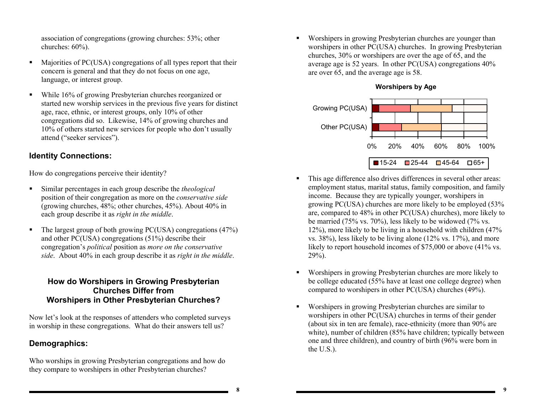association of congregations (growing churches: 53%; other churches: 60%).

- Majorities of PC(USA) congregations of all types report that their concern is general and that they do not focus on one age, language, or interest group.
- While 16% of growing Presbyterian churches reorganized or started new worship services in the previous five years for distinct age, race, ethnic, or interest groups, only 10% of other congregations did so. Likewise, 14% of growing churches and 10% of others started new services for people who don't usually attend ("seeker services").

# **Identity Connections:**

How do congregations perceive their identity?

- Similar percentages in each group describe the *theological* position of their congregation as more on the *conservative side*  (growing churches, 48%; other churches, 45%). About 40% in each group describe it as *right in the middle*.
- $\blacksquare$  The largest group of both growing PC(USA) congregations (47%) and other PC(USA) congregations (51%) describe their congregation's *political* position as *more on the conservative side*. About 40% in each group describe it as *right in the middle*.

#### **How do Worshipers in Growing Presbyterian Churches Differ from Worshipers in Other Presbyterian Churches?**

Now let's look at the responses of attenders who completed surveys in worship in these congregations. What do their answers tell us?

# **Demographics:**

Who worships in growing Presbyterian congregations and how do they compare to worshipers in other Presbyterian churches?

 Worshipers in growing Presbyterian churches are younger than worshipers in other PC(USA) churches. In growing Presbyterian churches, 30% or worshipers are over the age of 65, and the average age is 52 years. In other PC(USA) congregations 40% are over 65, and the average age is 58.





- This age difference also drives differences in several other areas: employment status, marital status, family composition, and family income. Because they are typically younger, worshipers in growing PC(USA) churches are more likely to be employed (53% are, compared to 48% in other PC(USA) churches), more likely to be married (75% vs. 70%), less likely to be widowed (7% vs. 12%), more likely to be living in a household with children (47% vs. 38%), less likely to be living alone (12% vs. 17%), and more likely to report household incomes of \$75,000 or above (41% vs.  $29\%)$ .
- Worshipers in growing Presbyterian churches are more likely to be college educated (55% have at least one college degree) when compared to worshipers in other PC(USA) churches (49%).
- Worshipers in growing Presbyterian churches are similar to worshipers in other PC(USA) churches in terms of their gender (about six in ten are female), race-ethnicity (more than 90% are white), number of children (85% have children; typically between one and three children), and country of birth (96% were born in the U.S.).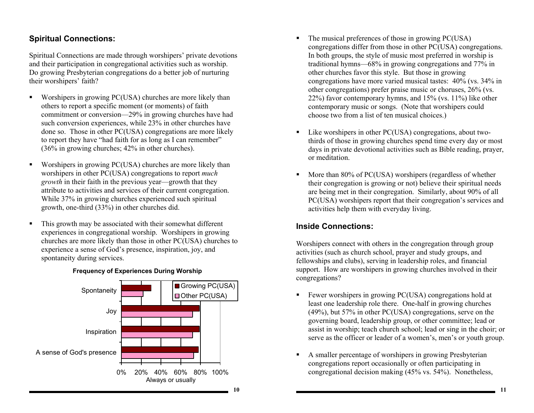#### **Spiritual Connections:**

Spiritual Connections are made through worshipers' private devotions and their participation in congregational activities such as worship. Do growing Presbyterian congregations do a better job of nurturing their worshipers' faith?

- Worshipers in growing PC(USA) churches are more likely than others to report a specific moment (or moments) of faith commitment or conversion—29% in growing churches have had such conversion experiences, while 23% in other churches have done so. Those in other PC(USA) congregations are more likely to report they have "had faith for as long as I can remember" (36% in growing churches; 42% in other churches).
- Worshipers in growing PC(USA) churches are more likely than worshipers in other PC(USA) congregations to report *much growth* in their faith in the previous year—growth that they attribute to activities and services of their current congregation. While 37% in growing churches experienced such spiritual growth, one-third (33%) in other churches did.
- This growth may be associated with their somewhat different experiences in congregational worship. Worshipers in growing churches are more likely than those in other PC(USA) churches to experience a sense of God's presence, inspiration, joy, and spontaneity during services.



#### **Frequency of Experiences During Worship**

- The musical preferences of those in growing PC(USA) congregations differ from those in other PC(USA) congregations. In both groups, the style of music most preferred in worship is traditional hymns—68% in growing congregations and 77% in other churches favor this style. But those in growing congregations have more varied musical tastes: 40% (vs. 34% in other congregations) prefer praise music or choruses, 26% (vs. 22%) favor contemporary hymns, and 15% (vs. 11%) like other contemporary music or songs. (Note that worshipers could choose two from a list of ten musical choices.)
- Like worshipers in other PC(USA) congregations, about twothirds of those in growing churches spend time every day or most days in private devotional activities such as Bible reading, prayer, or meditation.
- More than 80% of PC(USA) worshipers (regardless of whether their congregation is growing or not) believe their spiritual needs are being met in their congregation. Similarly, about 90% of all PC(USA) worshipers report that their congregation's services and activities help them with everyday living.

# **Inside Connections:**

Worshipers connect with others in the congregation through group activities (such as church school, prayer and study groups, and fellowships and clubs), serving in leadership roles, and financial support. How are worshipers in growing churches involved in their congregations?

- Fewer worshipers in growing PC(USA) congregations hold at least one leadership role there. One-half in growing churches (49%), but 57% in other PC(USA) congregations, serve on the governing board, leadership group, or other committee; lead or assist in worship; teach church school; lead or sing in the choir; or serve as the officer or leader of a women's, men's or youth group.
- A smaller percentage of worshipers in growing Presbyterian congregations report occasionally or often participating in congregational decision making (45% vs. 54%). Nonetheless,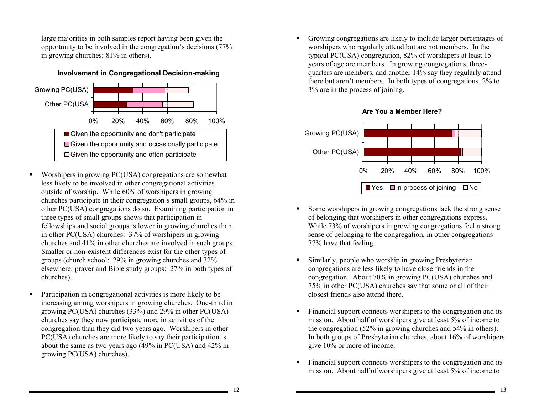large majorities in both samples report having been given the opportunity to be involved in the congregation's decisions (77% in growing churches; 81% in others).

**Involvement in Congregational Decision-making** 



- Worshipers in growing PC(USA) congregations are somewhat less likely to be involved in other congregational activities outside of worship. While 60% of worshipers in growing churches participate in their congregation's small groups, 64% in other PC(USA) congregations do so. Examining participation in three types of small groups shows that participation in fellowships and social groups is lower in growing churches than in other PC(USA) churches: 37% of worshipers in growing churches and 41% in other churches are involved in such groups. Smaller or non-existent differences exist for the other types of groups (church school: 29% in growing churches and 32% elsewhere; prayer and Bible study groups: 27% in both types of churches).
- Participation in congregational activities is more likely to be increasing among worshipers in growing churches. One-third in growing PC(USA) churches (33%) and 29% in other PC(USA) churches say they now participate more in activities of the congregation than they did two years ago. Worshipers in other PC(USA) churches are more likely to say their participation is about the same as two years ago (49% in PC(USA) and 42% in growing PC(USA) churches).

 Growing congregations are likely to include larger percentages of worshipers who regularly attend but are not members. In the typical PC(USA) congregation, 82% of worshipers at least 15 years of age are members. In growing congregations, threequarters are members, and another 14% say they regularly attend there but aren't members. In both types of congregations, 2% to 3% are in the process of joining.



#### **Are You a Member Here?**

- Some worshipers in growing congregations lack the strong sense of belonging that worshipers in other congregations express. While 73% of worshipers in growing congregations feel a strong sense of belonging to the congregation, in other congregations 77% have that feeling.
- Similarly, people who worship in growing Presbyterian congregations are less likely to have close friends in the congregation. About 70% in growing PC(USA) churches and 75% in other PC(USA) churches say that some or all of their closest friends also attend there.
- Financial support connects worshipers to the congregation and its mission. About half of worshipers give at least 5% of income to the congregation (52% in growing churches and 54% in others). In both groups of Presbyterian churches, about 16% of worshipers give 10% or more of income.
- Financial support connects worshipers to the congregation and its mission. About half of worshipers give at least 5% of income to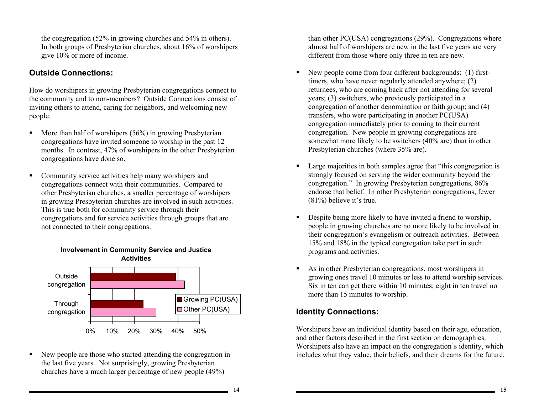the congregation (52% in growing churches and 54% in others). In both groups of Presbyterian churches, about 16% of worshipers give 10% or more of income.

## **Outside Connections:**

How do worshipers in growing Presbyterian congregations connect to the community and to non-members? Outside Connections consist of inviting others to attend, caring for neighbors, and welcoming new people.

- $\blacksquare$  More than half of worshipers (56%) in growing Presbyterian congregations have invited someone to worship in the past 12 months. In contrast, 47% of worshipers in the other Presbyterian congregations have done so.
- **•** Community service activities help many worshipers and congregations connect with their communities. Compared to other Presbyterian churches, a smaller percentage of worshipers in growing Presbyterian churches are involved in such activities. This is true both for community service through their congregations and for service activities through groups that are not connected to their congregations.



 New people are those who started attending the congregation in the last five years. Not surprisingly, growing Presbyterian churches have a much larger percentage of new people (49%)

than other PC(USA) congregations (29%). Congregations where almost half of worshipers are new in the last five years are very different from those where only three in ten are new.

- New people come from four different backgrounds: (1) firsttimers, who have never regularly attended anywhere; (2) returnees, who are coming back after not attending for several years; (3) switchers, who previously participated in a congregation of another denomination or faith group; and (4) transfers, who were participating in another PC(USA) congregation immediately prior to coming to their current congregation. New people in growing congregations are somewhat more likely to be switchers (40% are) than in other Presbyterian churches (where 35% are).
- Large majorities in both samples agree that "this congregation is strongly focused on serving the wider community beyond the congregation." In growing Presbyterian congregations, 86% endorse that belief. In other Presbyterian congregations, fewer (81%) believe it's true.
- Despite being more likely to have invited a friend to worship, people in growing churches are no more likely to be involved in their congregation's evangelism or outreach activities. Between 15% and 18% in the typical congregation take part in such programs and activities.
- As in other Presbyterian congregations, most worshipers in growing ones travel 10 minutes or less to attend worship services. Six in ten can get there within 10 minutes; eight in ten travel no more than 15 minutes to worship.

## **Identity Connections:**

Worshipers have an individual identity based on their age, education, and other factors described in the first section on demographics. Worshipers also have an impact on the congregation's identity, which includes what they value, their beliefs, and their dreams for the future.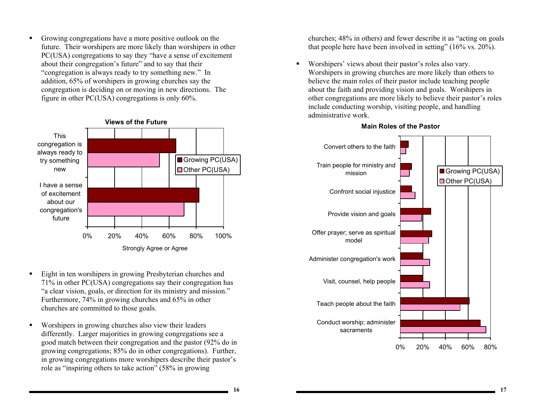Growing congregations have a more positive outlook on the future. Their worshipers are more likely than worshipers in other PC(USA) congregations to say they "have a sense of excitement about their congregation's future" and to say that their "congregation is always ready to try something new." In addition, 65% of worshipers in growing churches say the congregation is deciding on or moving in new directions. The figure in other PC(USA) congregations is only 60%.



- Eight in ten worshipers in growing Presbyterian churches and 71% in other PC(USA) congregations say their congregation has "a clear vision, goals, or direction for its ministry and mission." Furthermore, 74% in growing churches and 65% in other churches are committed to those goals.
- Worshipers in growing churches also view their leaders differently. Larger majorities in growing congregations see a good match between their congregation and the pastor (92% do in growing congregations; 85% do in other congregations). Further, in growing congregations more worshipers describe their pastor's role as "inspiring others to take action" (58% in growing

churches; 48% in others) and fewer describe it as "acting on goals that people here have been involved in setting" (16% vs. 20%).

 Worshipers' views about their pastor's roles also vary. Worshipers in growing churches are more likely than others to believe the main roles of their pastor include teaching people about the faith and providing vision and goals. Worshipers in other congregations are more likely to believe their pastor's roles include conducting worship, visiting people, and handling administrative work.



#### **Main Roles of the Pastor**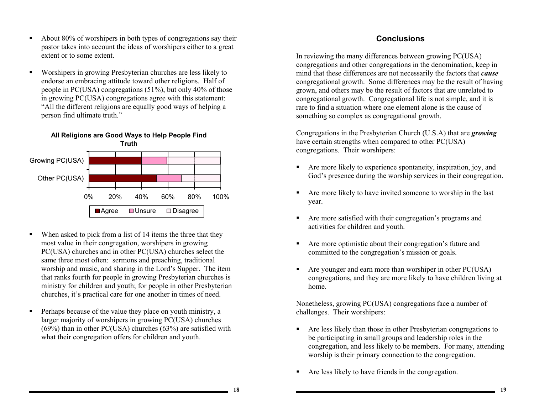- About 80% of worshipers in both types of congregations say their pastor takes into account the ideas of worshipers either to a great extent or to some extent.
- Worshipers in growing Presbyterian churches are less likely to endorse an embracing attitude toward other religions. Half of people in PC(USA) congregations (51%), but only 40% of those in growing PC(USA) congregations agree with this statement: "All the different religions are equally good ways of helping a person find ultimate truth."



- When asked to pick from a list of 14 items the three that they most value in their congregation, worshipers in growing PC(USA) churches and in other PC(USA) churches select the same three most often: sermons and preaching, traditional worship and music, and sharing in the Lord's Supper. The item that ranks fourth for people in growing Presbyterian churches is ministry for children and youth; for people in other Presbyterian churches, it's practical care for one another in times of need.
- Perhaps because of the value they place on youth ministry, a larger majority of worshipers in growing PC(USA) churches  $(69%)$  than in other PC(USA) churches  $(63%)$  are satisfied with what their congregation offers for children and youth.

#### **Conclusions**

In reviewing the many differences between growing PC(USA) congregations and other congregations in the denomination, keep in mind that these differences are not necessarily the factors that *cause* congregational growth. Some differences may be the result of having grown, and others may be the result of factors that are unrelated to congregational growth. Congregational life is not simple, and it is rare to find a situation where one element alone is the cause of something so complex as congregational growth.

Congregations in the Presbyterian Church (U.S.A) that are *growing*  have certain strengths when compared to other PC(USA) congregations. Their worshipers:

- Are more likely to experience spontaneity, inspiration, joy, and God's presence during the worship services in their congregation.
- Are more likely to have invited someone to worship in the last year.
- Are more satisfied with their congregation's programs and activities for children and youth.
- Are more optimistic about their congregation's future and committed to the congregation's mission or goals.
- Are younger and earn more than worshiper in other PC(USA) congregations, and they are more likely to have children living at home.

Nonetheless, growing PC(USA) congregations face a number of challenges. Their worshipers:

- Are less likely than those in other Presbyterian congregations to be participating in small groups and leadership roles in the congregation, and less likely to be members. For many, attending worship is their primary connection to the congregation.
- Are less likely to have friends in the congregation.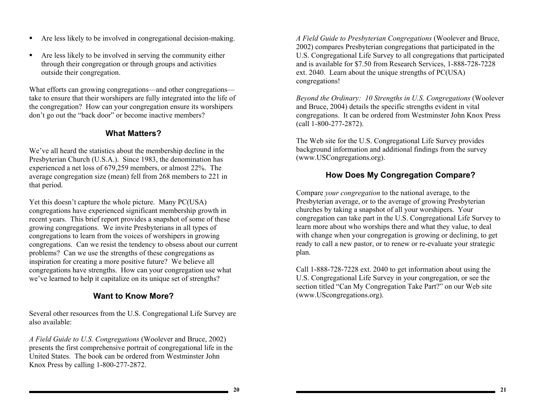- Are less likely to be involved in congregational decision-making.
- Are less likely to be involved in serving the community either through their congregation or through groups and activities outside their congregation.

What efforts can growing congregations—and other congregations take to ensure that their worshipers are fully integrated into the life of the congregation? How can your congregation ensure its worshipers don't go out the "back door" or become inactive members?

#### **What Matters?**

We've all heard the statistics about the membership decline in the Presbyterian Church (U.S.A.). Since 1983, the denomination has experienced a net loss of 679,259 members, or almost 22%. The average congregation size (mean) fell from 268 members to 221 in that period.

Yet this doesn't capture the whole picture. Many PC(USA) congregations have experienced significant membership growth in recent years. This brief report provides a snapshot of some of these growing congregations. We invite Presbyterians in all types of congregations to learn from the voices of worshipers in growing congregations. Can we resist the tendency to obsess about our current problems? Can we use the strengths of these congregations as inspiration for creating a more positive future? We believe all congregations have strengths. How can your congregation use what we've learned to help it capitalize on its unique set of strengths?

## **Want to Know More?**

Several other resources from the U.S. Congregational Life Survey are also available:

*A Field Guide to U.S. Congregations* (Woolever and Bruce, 2002) presents the first comprehensive portrait of congregational life in the United States. The book can be ordered from Westminster John Knox Press by calling 1-800-277-2872.

*A Field Guide to Presbyterian Congregations* (Woolever and Bruce, 2002) compares Presbyterian congregations that participated in the U.S. Congregational Life Survey to all congregations that participated and is available for \$7.50 from Research Services, 1-888-728-7228 ext. 2040. Learn about the unique strengths of PC(USA) congregations!

*Beyond the Ordinary: 10 Strengths in U.S. Congregations* (Woolever and Bruce, 2004) details the specific strengths evident in vital congregations. It can be ordered from Westminster John Knox Press (call 1-800-277-2872).

The Web site for the U.S. Congregational Life Survey provides background information and additional findings from the survey (www.USCongregations.org).

#### **How Does My Congregation Compare?**

Compare *your congregation* to the national average, to the Presbyterian average, or to the average of growing Presbyterian churches by taking a snapshot of all your worshipers. Your congregation can take part in the U.S. Congregational Life Survey to learn more about who worships there and what they value, to deal with change when your congregation is growing or declining, to get ready to call a new pastor, or to renew or re-evaluate your strategic plan.

Call 1-888-728-7228 ext. 2040 to get information about using the U.S. Congregational Life Survey in your congregation, or see the section titled "Can My Congregation Take Part?" on our Web site (www.UScongregations.org).